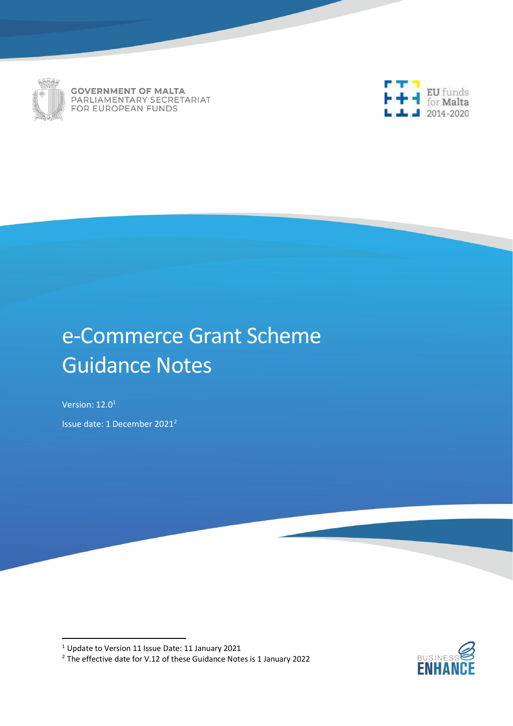

**GOVERNMENT OF MALTA** PARLIAMENTARY SECRETARIAT FOR EUROPEAN FUNDS



# e-Commerce Grant Scheme Guidance Notes

Version: 12.0<sup>1</sup>

Issue date: 1 December 2021<sup>2</sup>

<sup>2</sup> The effective date for V.12 of these Guidance Notes is 1 January 2022



<sup>1</sup> Update to Version 11 Issue Date: 11 January 2021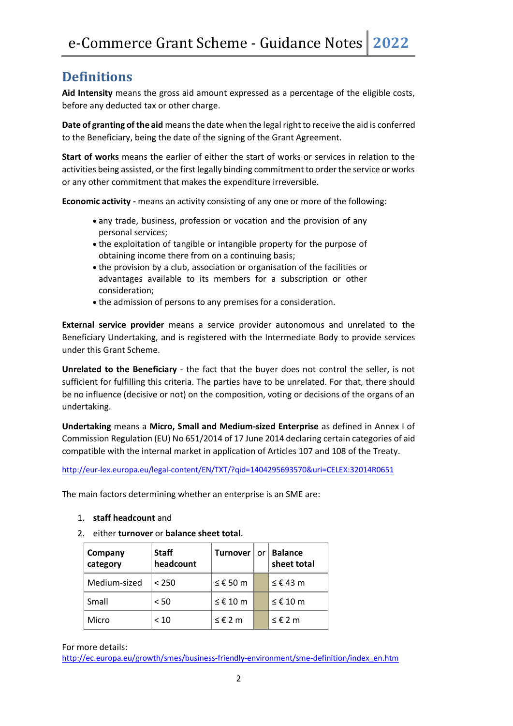## **Definitions**

**Aid Intensity** means the gross aid amount expressed as a percentage of the eligible costs, before any deducted tax or other charge.

**Date of granting of the aid** means the date when the legal right to receive the aid is conferred to the Beneficiary, being the date of the signing of the Grant Agreement.

**Start of works** means the earlier of either the start of works or services in relation to the activities being assisted, or the first legally binding commitment to order the service or works or any other commitment that makes the expenditure irreversible.

**Economic activity -** means an activity consisting of any one or more of the following:

- any trade, business, profession or vocation and the provision of any personal services;
- the exploitation of tangible or intangible property for the purpose of obtaining income there from on a continuing basis;
- the provision by a club, association or organisation of the facilities or advantages available to its members for a subscription or other consideration;
- the admission of persons to any premises for a consideration.

**External service provider** means a service provider autonomous and unrelated to the Beneficiary Undertaking, and is registered with the Intermediate Body to provide services under this Grant Scheme.

**Unrelated to the Beneficiary** - the fact that the buyer does not control the seller, is not sufficient for fulfilling this criteria. The parties have to be unrelated. For that, there should be no influence (decisive or not) on the composition, voting or decisions of the organs of an undertaking.

**Undertaking** means a **Micro, Small and Medium-sized Enterprise** as defined in Annex I of Commission Regulation (EU) No 651/2014 of 17 June 2014 declaring certain categories of aid compatible with the internal market in application of Articles 107 and 108 of the Treaty.

<http://eur-lex.europa.eu/legal-content/EN/TXT/?qid=1404295693570&uri=CELEX:32014R0651>

The main factors determining whether an enterprise is an SME are:

- 1. **staff headcount** and
- 2. either **turnover** or **balance sheet total**.

| Company<br>category | <b>Staff</b><br>headcount | <b>Turnover</b> | or | <b>Balance</b><br>sheet total |
|---------------------|---------------------------|-----------------|----|-------------------------------|
| Medium-sized        | < 250                     | $≤ €50$ m       |    | ≤ € 43 m                      |
| Small               | < 50                      | $≤$ € 10 m      |    | $≤$ € 10 m                    |
| Micro               | < 10                      | ≤€2m            |    | ≤€2m                          |

For more details:

[http://ec.europa.eu/growth/smes/business-friendly-environment/sme-definition/index\\_en.htm](http://ec.europa.eu/growth/smes/business-friendly-environment/sme-definition/index_en.htm)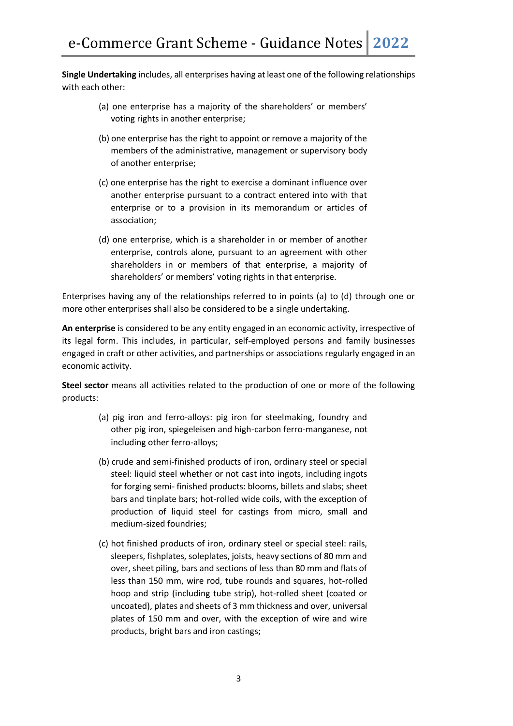**Single Undertaking** includes, all enterprises having at least one of the following relationships with each other:

- (a) one enterprise has a majority of the shareholders' or members' voting rights in another enterprise;
- (b) one enterprise has the right to appoint or remove a majority of the members of the administrative, management or supervisory body of another enterprise;
- (c) one enterprise has the right to exercise a dominant influence over another enterprise pursuant to a contract entered into with that enterprise or to a provision in its memorandum or articles of association;
- (d) one enterprise, which is a shareholder in or member of another enterprise, controls alone, pursuant to an agreement with other shareholders in or members of that enterprise, a majority of shareholders' or members' voting rights in that enterprise.

Enterprises having any of the relationships referred to in points (a) to (d) through one or more other enterprises shall also be considered to be a single undertaking.

**An enterprise** is considered to be any entity engaged in an economic activity, irrespective of its legal form. This includes, in particular, self-employed persons and family businesses engaged in craft or other activities, and partnerships or associations regularly engaged in an economic activity.

**Steel sector** means all activities related to the production of one or more of the following products:

- (a) pig iron and ferro-alloys: pig iron for steelmaking, foundry and other pig iron, spiegeleisen and high-carbon ferro-manganese, not including other ferro-alloys;
- (b) crude and semi-finished products of iron, ordinary steel or special steel: liquid steel whether or not cast into ingots, including ingots for forging semi- finished products: blooms, billets and slabs; sheet bars and tinplate bars; hot-rolled wide coils, with the exception of production of liquid steel for castings from micro, small and medium-sized foundries;
- (c) hot finished products of iron, ordinary steel or special steel: rails, sleepers, fishplates, soleplates, joists, heavy sections of 80 mm and over, sheet piling, bars and sections of less than 80 mm and flats of less than 150 mm, wire rod, tube rounds and squares, hot-rolled hoop and strip (including tube strip), hot-rolled sheet (coated or uncoated), plates and sheets of 3 mm thickness and over, universal plates of 150 mm and over, with the exception of wire and wire products, bright bars and iron castings;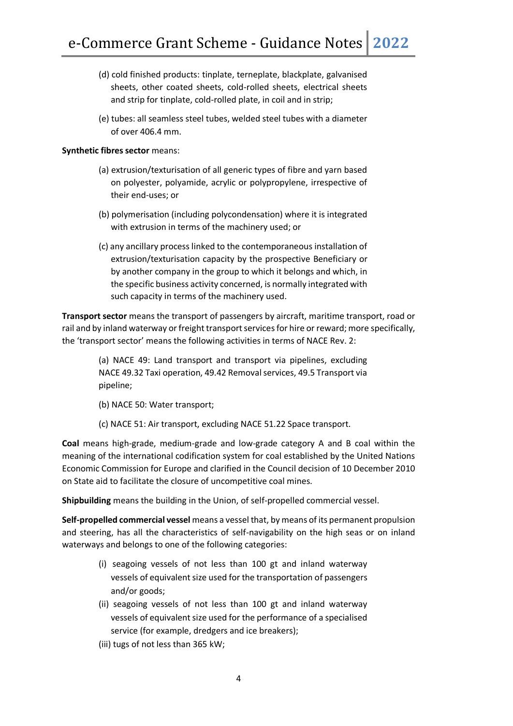- (d) cold finished products: tinplate, terneplate, blackplate, galvanised sheets, other coated sheets, cold-rolled sheets, electrical sheets and strip for tinplate, cold-rolled plate, in coil and in strip;
- (e) tubes: all seamless steel tubes, welded steel tubes with a diameter of over 406.4 mm.

#### **Synthetic fibres sector** means:

- (a) extrusion/texturisation of all generic types of fibre and yarn based on polyester, polyamide, acrylic or polypropylene, irrespective of their end-uses; or
- (b) polymerisation (including polycondensation) where it is integrated with extrusion in terms of the machinery used; or
- (c) any ancillary process linked to the contemporaneous installation of extrusion/texturisation capacity by the prospective Beneficiary or by another company in the group to which it belongs and which, in the specific business activity concerned, is normally integrated with such capacity in terms of the machinery used.

**Transport sector** means the transport of passengers by aircraft, maritime transport, road or rail and by inland waterway or freight transport services for hire or reward; more specifically, the 'transport sector' means the following activities in terms of NACE Rev. 2:

> (a) NACE 49: Land transport and transport via pipelines, excluding NACE 49.32 Taxi operation, 49.42 Removal services, 49.5 Transport via pipeline;

(b) NACE 50: Water transport;

(c) NACE 51: Air transport, excluding NACE 51.22 Space transport.

**Coal** means high-grade, medium-grade and low-grade category A and B coal within the meaning of the international codification system for coal established by the United Nations Economic Commission for Europe and clarified in the Council decision of 10 December 2010 on State aid to facilitate the closure of uncompetitive coal mines.

**Shipbuilding** means the building in the Union, of self-propelled commercial vessel.

**Self-propelled commercial vessel** means a vessel that, by means of its permanent propulsion and steering, has all the characteristics of self-navigability on the high seas or on inland waterways and belongs to one of the following categories:

- (i) seagoing vessels of not less than 100 gt and inland waterway vessels of equivalent size used for the transportation of passengers and/or goods;
- (ii) seagoing vessels of not less than 100 gt and inland waterway vessels of equivalent size used for the performance of a specialised service (for example, dredgers and ice breakers);
- (iii) tugs of not less than 365 kW;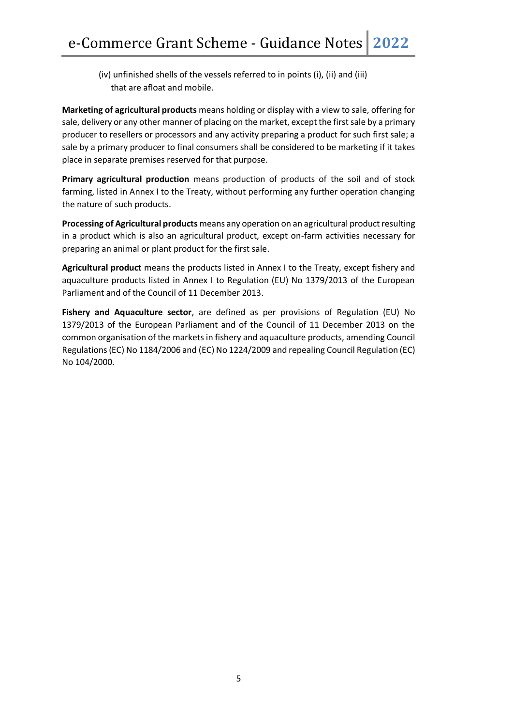(iv) unfinished shells of the vessels referred to in points (i), (ii) and (iii) that are afloat and mobile.

**Marketing of agricultural products** means holding or display with a view to sale, offering for sale, delivery or any other manner of placing on the market, except the first sale by a primary producer to resellers or processors and any activity preparing a product for such first sale; a sale by a primary producer to final consumers shall be considered to be marketing if it takes place in separate premises reserved for that purpose.

**Primary agricultural production** means production of products of the soil and of stock farming, listed in Annex I to the Treaty, without performing any further operation changing the nature of such products.

**Processing of Agricultural products** means any operation on an agricultural product resulting in a product which is also an agricultural product, except on-farm activities necessary for preparing an animal or plant product for the first sale.

**Agricultural product** means the products listed in Annex I to the Treaty, except fishery and aquaculture products listed in Annex I to Regulation (EU) No 1379/2013 of the European Parliament and of the Council of 11 December 2013.

**Fishery and Aquaculture sector**, are defined as per provisions of Regulation (EU) No 1379/2013 of the European Parliament and of the Council of 11 December 2013 on the common organisation of the markets in fishery and aquaculture products, amending Council Regulations (EC) No 1184/2006 and (EC) No 1224/2009 and repealing Council Regulation (EC) No 104/2000.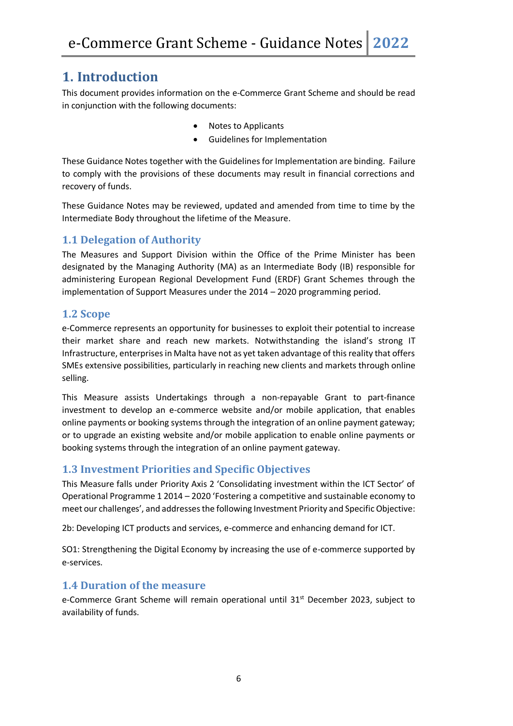## **1. Introduction**

This document provides information on the e-Commerce Grant Scheme and should be read in conjunction with the following documents:

- Notes to Applicants
- Guidelines for Implementation

These Guidance Notes together with the Guidelines for Implementation are binding. Failure to comply with the provisions of these documents may result in financial corrections and recovery of funds.

These Guidance Notes may be reviewed, updated and amended from time to time by the Intermediate Body throughout the lifetime of the Measure.

#### **1.1 Delegation of Authority**

The Measures and Support Division within the Office of the Prime Minister has been designated by the Managing Authority (MA) as an Intermediate Body (IB) responsible for administering European Regional Development Fund (ERDF) Grant Schemes through the implementation of Support Measures under the 2014 – 2020 programming period.

#### **1.2 Scope**

e-Commerce represents an opportunity for businesses to exploit their potential to increase their market share and reach new markets. Notwithstanding the island's strong IT Infrastructure, enterprises in Malta have not as yet taken advantage of this reality that offers SMEs extensive possibilities, particularly in reaching new clients and markets through online selling.

This Measure assists Undertakings through a non-repayable Grant to part-finance investment to develop an e-commerce website and/or mobile application, that enables online payments or booking systems through the integration of an online payment gateway; or to upgrade an existing website and/or mobile application to enable online payments or booking systems through the integration of an online payment gateway.

#### **1.3 Investment Priorities and Specific Objectives**

This Measure falls under Priority Axis 2 'Consolidating investment within the ICT Sector' of Operational Programme 1 2014 – 2020 'Fostering a competitive and sustainable economy to meet our challenges', and addresses the following Investment Priority and Specific Objective:

2b: Developing ICT products and services, e-commerce and enhancing demand for ICT.

SO1: Strengthening the Digital Economy by increasing the use of e-commerce supported by e-services.

#### **1.4 Duration of the measure**

e-Commerce Grant Scheme will remain operational until 31<sup>st</sup> December 2023, subject to availability of funds.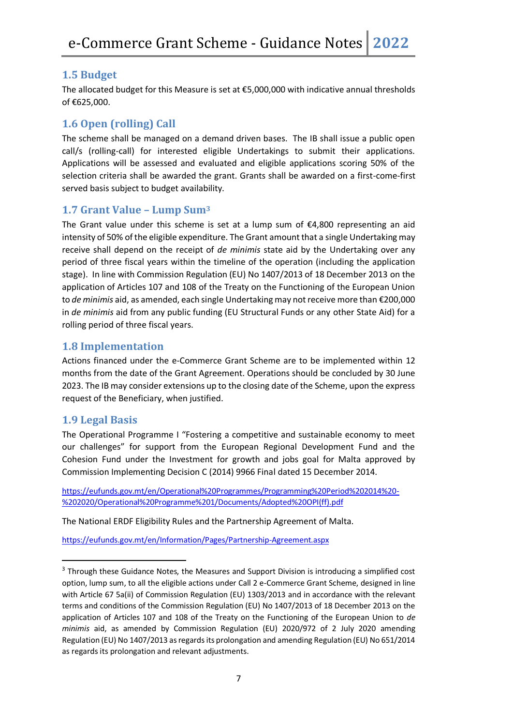#### **1.5 Budget**

The allocated budget for this Measure is set at €5,000,000 with indicative annual thresholds of €625,000.

#### **1.6 Open (rolling) Call**

The scheme shall be managed on a demand driven bases. The IB shall issue a public open call/s (rolling-call) for interested eligible Undertakings to submit their applications. Applications will be assessed and evaluated and eligible applications scoring 50% of the selection criteria shall be awarded the grant. Grants shall be awarded on a first-come-first served basis subject to budget availability.

#### **1.7 Grant Value – Lump Sum<sup>3</sup>**

The Grant value under this scheme is set at a lump sum of  $\epsilon$ 4,800 representing an aid intensity of 50% of the eligible expenditure. The Grant amount that a single Undertaking may receive shall depend on the receipt of *de minimis* state aid by the Undertaking over any period of three fiscal years within the timeline of the operation (including the application stage). In line with Commission Regulation (EU) No 1407/2013 of 18 December 2013 on the application of Articles 107 and 108 of the Treaty on the Functioning of the European Union to *de minimis* aid, as amended, each single Undertaking may not receive more than €200,000 in *de minimis* aid from any public funding (EU Structural Funds or any other State Aid) for a rolling period of three fiscal years.

#### **1.8 Implementation**

Actions financed under the e-Commerce Grant Scheme are to be implemented within 12 months from the date of the Grant Agreement. Operations should be concluded by 30 June 2023. The IB may consider extensions up to the closing date of the Scheme, upon the express request of the Beneficiary, when justified.

#### **1.9 Legal Basis**

The Operational Programme I "Fostering a competitive and sustainable economy to meet our challenges" for support from the European Regional Development Fund and the Cohesion Fund under the Investment for growth and jobs goal for Malta approved by Commission Implementing Decision C (2014) 9966 Final dated 15 December 2014.

[https://eufunds.gov.mt/en/Operational%20Programmes/Programming%20Period%202014%20-](https://eufunds.gov.mt/en/Operational%20Programmes/Programming%20Period%202014%20-%202020/Operational%20Programme%201/Documents/Adopted%20OPI(ff).pdf) [%202020/Operational%20Programme%201/Documents/Adopted%20OPI\(ff\).pdf](https://eufunds.gov.mt/en/Operational%20Programmes/Programming%20Period%202014%20-%202020/Operational%20Programme%201/Documents/Adopted%20OPI(ff).pdf)

The National ERDF Eligibility Rules and the Partnership Agreement of Malta.

<https://eufunds.gov.mt/en/Information/Pages/Partnership-Agreement.aspx>

<sup>&</sup>lt;sup>3</sup> Through these Guidance Notes, the Measures and Support Division is introducing a simplified cost option, lump sum, to all the eligible actions under Call 2 e-Commerce Grant Scheme, designed in line with Article 67 5a(ii) of Commission Regulation (EU) 1303/2013 and in accordance with the relevant terms and conditions of the Commission Regulation (EU) No 1407/2013 of 18 December 2013 on the application of Articles 107 and 108 of the Treaty on the Functioning of the European Union to *de minimis* aid, as amended by Commission Regulation (EU) 2020/972 of 2 July 2020 amending Regulation (EU) No 1407/2013 as regards its prolongation and amending Regulation (EU) No 651/2014 as regards its prolongation and relevant adjustments.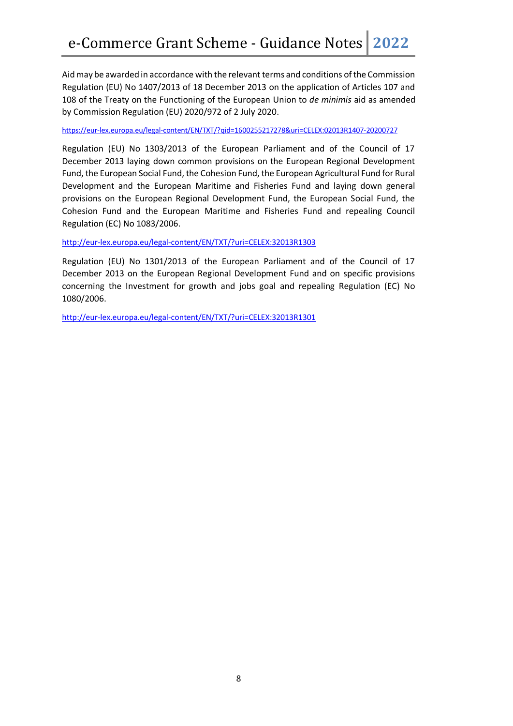Aid may be awarded in accordance with the relevant terms and conditions of the Commission Regulation (EU) No 1407/2013 of 18 December 2013 on the application of Articles 107 and 108 of the Treaty on the Functioning of the European Union to *de minimis* aid as amended by Commission Regulation (EU) 2020/972 of 2 July 2020.

<https://eur-lex.europa.eu/legal-content/EN/TXT/?qid=1600255217278&uri=CELEX:02013R1407-20200727>

Regulation (EU) No 1303/2013 of the European Parliament and of the Council of 17 December 2013 laying down common provisions on the European Regional Development Fund, the European Social Fund, the Cohesion Fund, the European Agricultural Fund for Rural Development and the European Maritime and Fisheries Fund and laying down general provisions on the European Regional Development Fund, the European Social Fund, the Cohesion Fund and the European Maritime and Fisheries Fund and repealing Council Regulation (EC) No 1083/2006.

<http://eur-lex.europa.eu/legal-content/EN/TXT/?uri=CELEX:32013R1303>

Regulation (EU) No 1301/2013 of the European Parliament and of the Council of 17 December 2013 on the European Regional Development Fund and on specific provisions concerning the Investment for growth and jobs goal and repealing Regulation (EC) No 1080/2006.

<http://eur-lex.europa.eu/legal-content/EN/TXT/?uri=CELEX:32013R1301>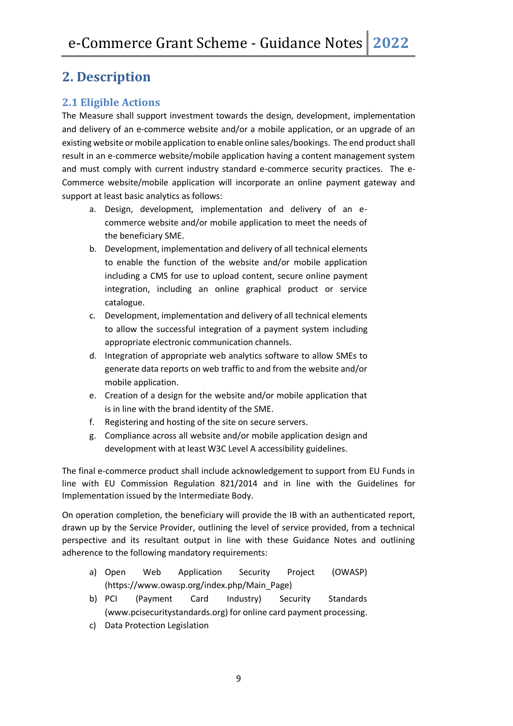# **2. Description**

#### **2.1 Eligible Actions**

The Measure shall support investment towards the design, development, implementation and delivery of an e-commerce website and/or a mobile application, or an upgrade of an existing website or mobile application to enable online sales/bookings. The end product shall result in an e-commerce website/mobile application having a content management system and must comply with current industry standard e-commerce security practices. The e-Commerce website/mobile application will incorporate an online payment gateway and support at least basic analytics as follows:

- a. Design, development, implementation and delivery of an ecommerce website and/or mobile application to meet the needs of the beneficiary SME.
- b. Development, implementation and delivery of all technical elements to enable the function of the website and/or mobile application including a CMS for use to upload content, secure online payment integration, including an online graphical product or service catalogue.
- c. Development, implementation and delivery of all technical elements to allow the successful integration of a payment system including appropriate electronic communication channels.
- d. Integration of appropriate web analytics software to allow SMEs to generate data reports on web traffic to and from the website and/or mobile application.
- e. Creation of a design for the website and/or mobile application that is in line with the brand identity of the SME.
- f. Registering and hosting of the site on secure servers.
- g. Compliance across all website and/or mobile application design and development with at least W3C Level A accessibility guidelines.

The final e-commerce product shall include acknowledgement to support from EU Funds in line with EU Commission Regulation 821/2014 and in line with the Guidelines for Implementation issued by the Intermediate Body.

On operation completion, the beneficiary will provide the IB with an authenticated report, drawn up by the Service Provider, outlining the level of service provided, from a technical perspective and its resultant output in line with these Guidance Notes and outlining adherence to the following mandatory requirements:

- a) Open Web Application Security Project (OWASP) (https://www.owasp.org/index.php/Main\_Page)
- b) PCI (Payment Card Industry) Security Standards (www.pcisecuritystandards.org) for online card payment processing.
- c) Data Protection Legislation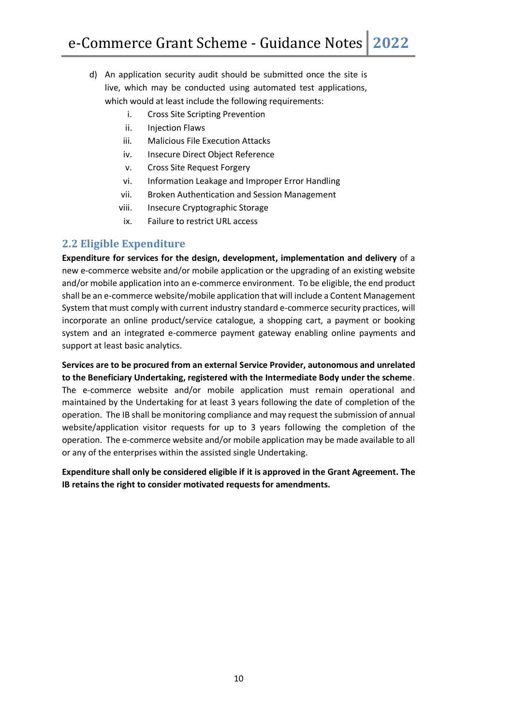- d) An application security audit should be submitted once the site is live, which may be conducted using automated test applications, which would at least include the following requirements:
	- i. Cross Site Scripting Prevention
	- ii. Injection Flaws
	- iii. Malicious File Execution Attacks
	- iv. Insecure Direct Object Reference
	- v. Cross Site Request Forgery
	- vi. Information Leakage and Improper Error Handling
	- vii. Broken Authentication and Session Management
	- viii. Insecure Cryptographic Storage
	- ix. Failure to restrict URL access

#### **2.2 Eligible Expenditure**

**Expenditure for services for the design, development, implementation and delivery** of a new e-commerce website and/or mobile application or the upgrading of an existing website and/or mobile application into an e-commerce environment. To be eligible, the end product shall be an e-commerce website/mobile application that will include a Content Management System that must comply with current industry standard e-commerce security practices, will incorporate an online product/service catalogue, a shopping cart, a payment or booking system and an integrated e-commerce payment gateway enabling online payments and support at least basic analytics.

**Services are to be procured from an external Service Provider, autonomous and unrelated to the Beneficiary Undertaking, registered with the Intermediate Body under the scheme**. The e-commerce website and/or mobile application must remain operational and maintained by the Undertaking for at least 3 years following the date of completion of the operation. The IB shall be monitoring compliance and may request the submission of annual website/application visitor requests for up to 3 years following the completion of the operation. The e-commerce website and/or mobile application may be made available to all or any of the enterprises within the assisted single Undertaking.

**Expenditure shall only be considered eligible if it is approved in the Grant Agreement. The IB retains the right to consider motivated requests for amendments.**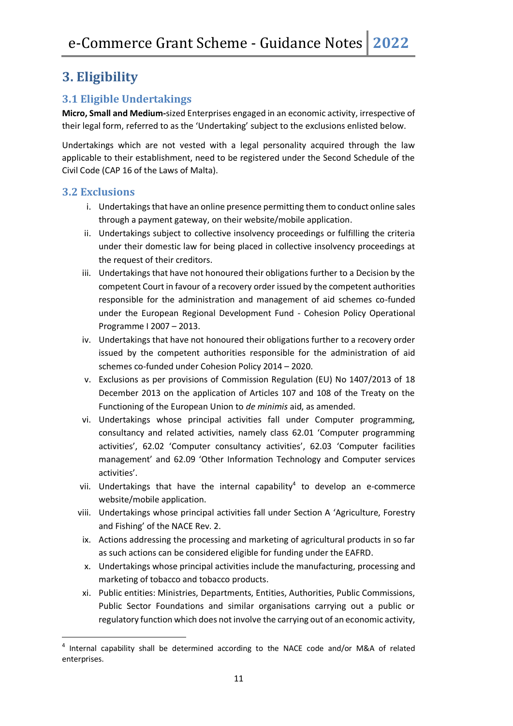# **3. Eligibility**

### **3.1 Eligible Undertakings**

**Micro, Small and Medium-**sized Enterprises engaged in an economic activity, irrespective of their legal form, referred to as the 'Undertaking' subject to the exclusions enlisted below.

Undertakings which are not vested with a legal personality acquired through the law applicable to their establishment, need to be registered under the Second Schedule of the Civil Code (CAP 16 of the Laws of Malta).

#### **3.2 Exclusions**

- i. Undertakings that have an online presence permitting them to conduct online sales through a payment gateway, on their website/mobile application.
- ii. Undertakings subject to collective insolvency proceedings or fulfilling the criteria under their domestic law for being placed in collective insolvency proceedings at the request of their creditors.
- iii. Undertakings that have not honoured their obligations further to a Decision by the competent Court in favour of a recovery order issued by the competent authorities responsible for the administration and management of aid schemes co-funded under the European Regional Development Fund - Cohesion Policy Operational Programme I 2007 – 2013.
- iv. Undertakings that have not honoured their obligations further to a recovery order issued by the competent authorities responsible for the administration of aid schemes co-funded under Cohesion Policy 2014 – 2020.
- v. Exclusions as per provisions of Commission Regulation (EU) No 1407/2013 of 18 December 2013 on the application of Articles 107 and 108 of the Treaty on the Functioning of the European Union to *de minimis* aid, as amended.
- vi. Undertakings whose principal activities fall under Computer programming, consultancy and related activities, namely class 62.01 'Computer programming activities', 62.02 'Computer consultancy activities', 62.03 'Computer facilities management' and 62.09 'Other Information Technology and Computer services activities'.
- vii. Undertakings that have the internal capability<sup>4</sup> to develop an e-commerce website/mobile application.
- viii. Undertakings whose principal activities fall under Section A 'Agriculture, Forestry and Fishing' of the NACE Rev. 2.
- ix. Actions addressing the processing and marketing of agricultural products in so far as such actions can be considered eligible for funding under the EAFRD.
- x. Undertakings whose principal activities include the manufacturing, processing and marketing of tobacco and tobacco products.
- xi. Public entities: Ministries, Departments, Entities, Authorities, Public Commissions, Public Sector Foundations and similar organisations carrying out a public or regulatory function which does not involve the carrying out of an economic activity,

<sup>&</sup>lt;sup>4</sup> Internal capability shall be determined according to the NACE code and/or M&A of related enterprises.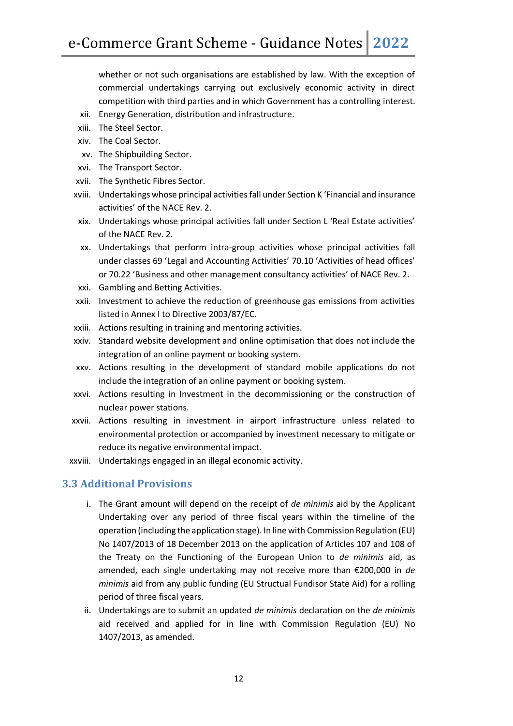whether or not such organisations are established by law. With the exception of commercial undertakings carrying out exclusively economic activity in direct competition with third parties and in which Government has a controlling interest.

- xii. Energy Generation, distribution and infrastructure.
- xiii. The Steel Sector.
- xiv. The Coal Sector.
- xv. The Shipbuilding Sector.
- xvi. The Transport Sector.
- xvii. The Synthetic Fibres Sector.
- xviii. Undertakings whose principal activities fall under Section K 'Financial and insurance activities' of the NACE Rev. 2.
- xix. Undertakings whose principal activities fall under Section L 'Real Estate activities' of the NACE Rev. 2.
- xx. Undertakings that perform intra-group activities whose principal activities fall under classes 69 'Legal and Accounting Activities' 70.10 'Activities of head offices' or 70.22 'Business and other management consultancy activities' of NACE Rev. 2.
- xxi. Gambling and Betting Activities.
- xxii. Investment to achieve the reduction of greenhouse gas emissions from activities listed in Annex I to Directive 2003/87/EC.
- xxiii. Actions resulting in training and mentoring activities.
- xxiv. Standard website development and online optimisation that does not include the integration of an online payment or booking system.
- xxv. Actions resulting in the development of standard mobile applications do not include the integration of an online payment or booking system.
- xxvi. Actions resulting in Investment in the decommissioning or the construction of nuclear power stations.
- xxvii. Actions resulting in investment in airport infrastructure unless related to environmental protection or accompanied by investment necessary to mitigate or reduce its negative environmental impact.
- xxviii. Undertakings engaged in an illegal economic activity.

#### **3.3 Additional Provisions**

- i. The Grant amount will depend on the receipt of *de minimis* aid by the Applicant Undertaking over any period of three fiscal years within the timeline of the operation (including the application stage). In line with Commission Regulation (EU) No 1407/2013 of 18 December 2013 on the application of Articles 107 and 108 of the Treaty on the Functioning of the European Union to *de minimis* aid, as amended, each single undertaking may not receive more than €200,000 in *de minimis* aid from any public funding (EU Structual Fundisor State Aid) for a rolling period of three fiscal years.
- ii. Undertakings are to submit an updated *de minimis* declaration on the *de minimis* aid received and applied for in line with Commission Regulation (EU) No 1407/2013, as amended.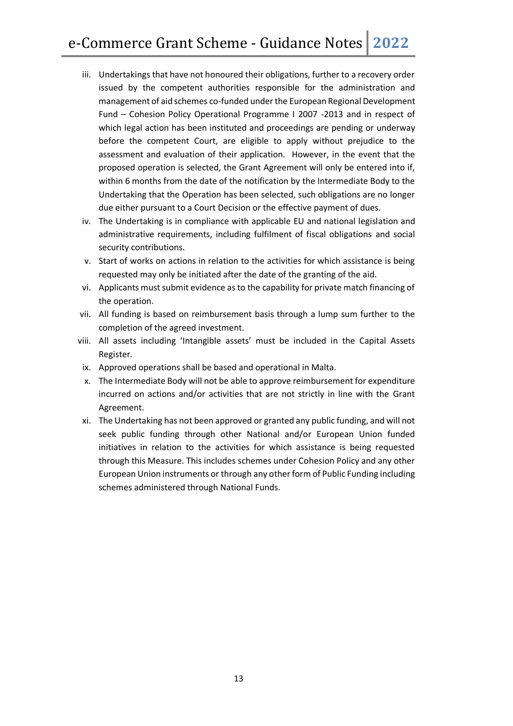- iii. Undertakings that have not honoured their obligations, further to a recovery order issued by the competent authorities responsible for the administration and management of aid schemes co-funded under the European Regional Development Fund – Cohesion Policy Operational Programme I 2007 -2013 and in respect of which legal action has been instituted and proceedings are pending or underway before the competent Court, are eligible to apply without prejudice to the assessment and evaluation of their application. However, in the event that the proposed operation is selected, the Grant Agreement will only be entered into if, within 6 months from the date of the notification by the Intermediate Body to the Undertaking that the Operation has been selected, such obligations are no longer due either pursuant to a Court Decision or the effective payment of dues.
- iv. The Undertaking is in compliance with applicable EU and national legislation and administrative requirements, including fulfilment of fiscal obligations and social security contributions.
- v. Start of works on actions in relation to the activities for which assistance is being requested may only be initiated after the date of the granting of the aid.
- vi. Applicants must submit evidence as to the capability for private match financing of the operation.
- vii. All funding is based on reimbursement basis through a lump sum further to the completion of the agreed investment.
- viii. All assets including 'Intangible assets' must be included in the Capital Assets Register.
- ix. Approved operations shall be based and operational in Malta.
- x. The Intermediate Body will not be able to approve reimbursement for expenditure incurred on actions and/or activities that are not strictly in line with the Grant Agreement.
- xi. The Undertaking has not been approved or granted any public funding, and will not seek public funding through other National and/or European Union funded initiatives in relation to the activities for which assistance is being requested through this Measure. This includes schemes under Cohesion Policy and any other European Union instruments or through any other form of Public Funding including schemes administered through National Funds.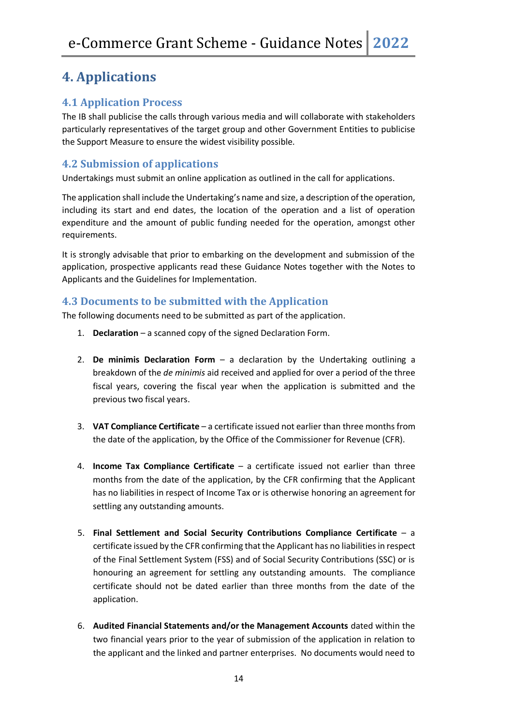# **4. Applications**

#### **4.1 Application Process**

The IB shall publicise the calls through various media and will collaborate with stakeholders particularly representatives of the target group and other Government Entities to publicise the Support Measure to ensure the widest visibility possible.

#### **4.2 Submission of applications**

Undertakings must submit an online application as outlined in the call for applications.

The application shall include the Undertaking's name and size, a description of the operation, including its start and end dates, the location of the operation and a list of operation expenditure and the amount of public funding needed for the operation, amongst other requirements.

It is strongly advisable that prior to embarking on the development and submission of the application, prospective applicants read these Guidance Notes together with the Notes to Applicants and the Guidelines for Implementation.

#### **4.3 Documents to be submitted with the Application**

The following documents need to be submitted as part of the application.

- 1. **Declaration**  a scanned copy of the signed Declaration Form.
- 2. **De minimis Declaration Form**  a declaration by the Undertaking outlining a breakdown of the *de minimis* aid received and applied for over a period of the three fiscal years, covering the fiscal year when the application is submitted and the previous two fiscal years.
- 3. **VAT Compliance Certificate** a certificate issued not earlier than three months from the date of the application, by the Office of the Commissioner for Revenue (CFR).
- 4. **Income Tax Compliance Certificate** a certificate issued not earlier than three months from the date of the application, by the CFR confirming that the Applicant has no liabilities in respect of Income Tax or is otherwise honoring an agreement for settling any outstanding amounts.
- 5. **Final Settlement and Social Security Contributions Compliance Certificate** a certificate issued by the CFR confirming that the Applicant has no liabilities in respect of the Final Settlement System (FSS) and of Social Security Contributions (SSC) or is honouring an agreement for settling any outstanding amounts. The compliance certificate should not be dated earlier than three months from the date of the application.
- 6. **Audited Financial Statements and/or the Management Accounts** dated within the two financial years prior to the year of submission of the application in relation to the applicant and the linked and partner enterprises. No documents would need to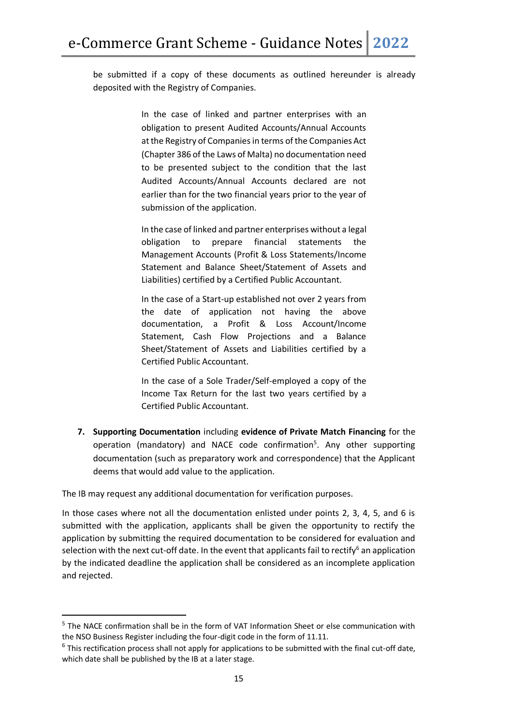be submitted if a copy of these documents as outlined hereunder is already deposited with the Registry of Companies.

> In the case of linked and partner enterprises with an obligation to present Audited Accounts/Annual Accounts at the Registry of Companies in terms of the Companies Act (Chapter 386 of the Laws of Malta) no documentation need to be presented subject to the condition that the last Audited Accounts/Annual Accounts declared are not earlier than for the two financial years prior to the year of submission of the application.

> In the case of linked and partner enterprises without a legal obligation to prepare financial statements the Management Accounts (Profit & Loss Statements/Income Statement and Balance Sheet/Statement of Assets and Liabilities) certified by a Certified Public Accountant.

> In the case of a Start-up established not over 2 years from the date of application not having the above documentation, a Profit & Loss Account/Income Statement, Cash Flow Projections and a Balance Sheet/Statement of Assets and Liabilities certified by a Certified Public Accountant.

> In the case of a Sole Trader/Self-employed a copy of the Income Tax Return for the last two years certified by a Certified Public Accountant.

**7. Supporting Documentation** including **evidence of Private Match Financing** for the operation (mandatory) and NACE code confirmation<sup>5</sup>. Any other supporting documentation (such as preparatory work and correspondence) that the Applicant deems that would add value to the application.

The IB may request any additional documentation for verification purposes.

In those cases where not all the documentation enlisted under points 2, 3, 4, 5, and 6 is submitted with the application, applicants shall be given the opportunity to rectify the application by submitting the required documentation to be considered for evaluation and selection with the next cut-off date. In the event that applicants fail to rectify<sup>6</sup> an application by the indicated deadline the application shall be considered as an incomplete application and rejected.

<sup>&</sup>lt;sup>5</sup> The NACE confirmation shall be in the form of VAT Information Sheet or else communication with the NSO Business Register including the four-digit code in the form of 11.11.

 $6$  This rectification process shall not apply for applications to be submitted with the final cut-off date, which date shall be published by the IB at a later stage.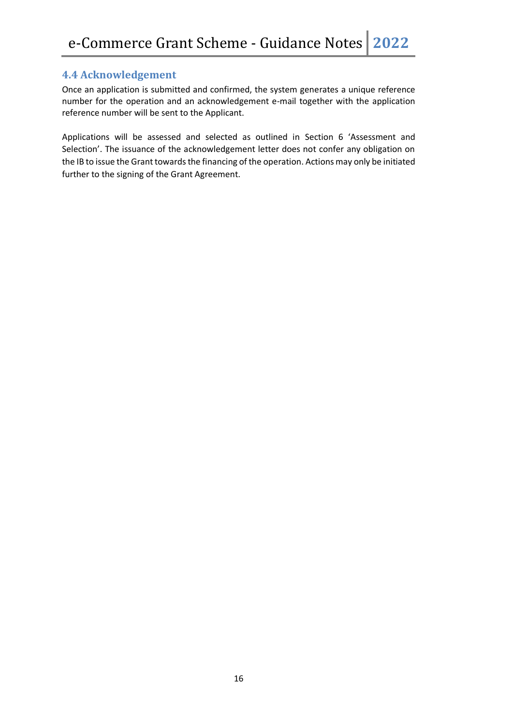#### **4.4 Acknowledgement**

Once an application is submitted and confirmed, the system generates a unique reference number for the operation and an acknowledgement e-mail together with the application reference number will be sent to the Applicant.

Applications will be assessed and selected as outlined in Section 6 'Assessment and Selection'. The issuance of the acknowledgement letter does not confer any obligation on the IB to issue the Grant towards the financing of the operation. Actions may only be initiated further to the signing of the Grant Agreement.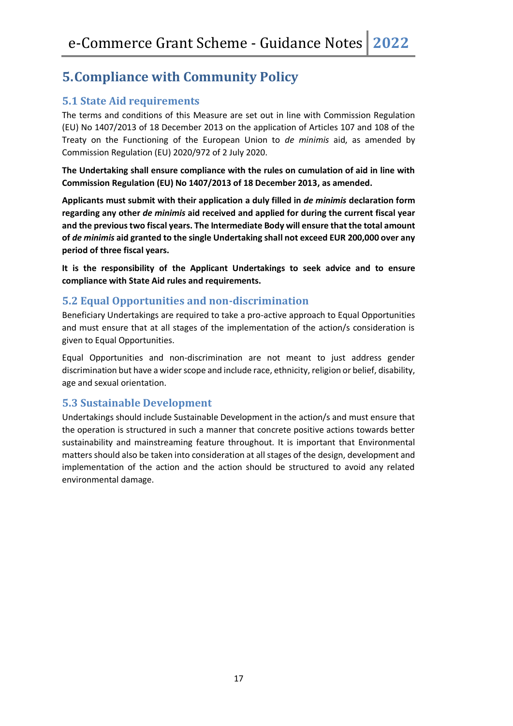# **5.Compliance with Community Policy**

#### **5.1 State Aid requirements**

The terms and conditions of this Measure are set out in line with Commission Regulation (EU) No 1407/2013 of 18 December 2013 on the application of Articles 107 and 108 of the Treaty on the Functioning of the European Union to *de minimis* aid, as amended by Commission Regulation (EU) 2020/972 of 2 July 2020.

**The Undertaking shall ensure compliance with the rules on cumulation of aid in line with Commission Regulation (EU) No 1407/2013 of 18 December 2013, as amended.** 

**Applicants must submit with their application a duly filled in** *de minimis* **declaration form regarding any other** *de minimis* **aid received and applied for during the current fiscal year and the previous two fiscal years. The Intermediate Body will ensure that the total amount of** *de minimis* **aid granted to the single Undertaking shall not exceed EUR 200,000 over any period of three fiscal years.**

**It is the responsibility of the Applicant Undertakings to seek advice and to ensure compliance with State Aid rules and requirements.**

#### **5.2 Equal Opportunities and non-discrimination**

Beneficiary Undertakings are required to take a pro-active approach to Equal Opportunities and must ensure that at all stages of the implementation of the action/s consideration is given to Equal Opportunities.

Equal Opportunities and non-discrimination are not meant to just address gender discrimination but have a wider scope and include race, ethnicity, religion or belief, disability, age and sexual orientation.

#### **5.3 Sustainable Development**

Undertakings should include Sustainable Development in the action/s and must ensure that the operation is structured in such a manner that concrete positive actions towards better sustainability and mainstreaming feature throughout. It is important that Environmental matters should also be taken into consideration at all stages of the design, development and implementation of the action and the action should be structured to avoid any related environmental damage.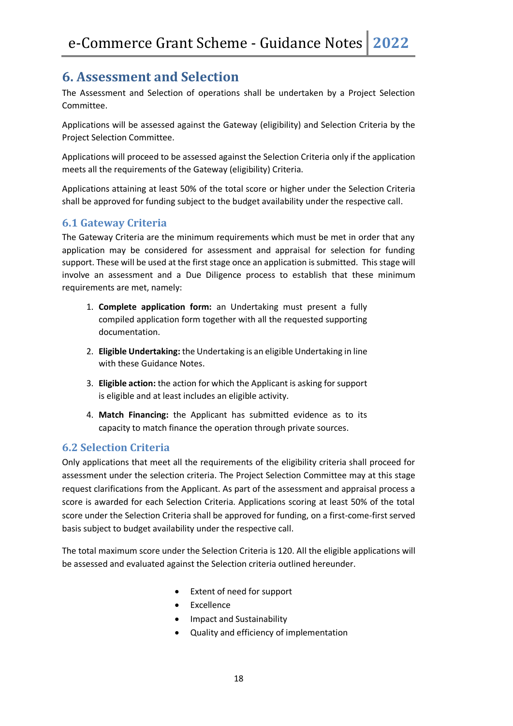## **6. Assessment and Selection**

The Assessment and Selection of operations shall be undertaken by a Project Selection Committee.

Applications will be assessed against the Gateway (eligibility) and Selection Criteria by the Project Selection Committee.

Applications will proceed to be assessed against the Selection Criteria only if the application meets all the requirements of the Gateway (eligibility) Criteria.

Applications attaining at least 50% of the total score or higher under the Selection Criteria shall be approved for funding subject to the budget availability under the respective call.

#### **6.1 Gateway Criteria**

The Gateway Criteria are the minimum requirements which must be met in order that any application may be considered for assessment and appraisal for selection for funding support. These will be used at the first stage once an application is submitted. This stage will involve an assessment and a Due Diligence process to establish that these minimum requirements are met, namely:

- 1. **Complete application form:** an Undertaking must present a fully compiled application form together with all the requested supporting documentation.
- 2. **Eligible Undertaking:** the Undertaking is an eligible Undertaking in line with these Guidance Notes.
- 3. **Eligible action:** the action for which the Applicant is asking for support is eligible and at least includes an eligible activity.
- 4. **Match Financing:** the Applicant has submitted evidence as to its capacity to match finance the operation through private sources.

#### **6.2 Selection Criteria**

Only applications that meet all the requirements of the eligibility criteria shall proceed for assessment under the selection criteria. The Project Selection Committee may at this stage request clarifications from the Applicant. As part of the assessment and appraisal process a score is awarded for each Selection Criteria. Applications scoring at least 50% of the total score under the Selection Criteria shall be approved for funding, on a first-come-first served basis subject to budget availability under the respective call.

The total maximum score under the Selection Criteria is 120. All the eligible applications will be assessed and evaluated against the Selection criteria outlined hereunder.

- Extent of need for support
- Excellence
- Impact and Sustainability
- Quality and efficiency of implementation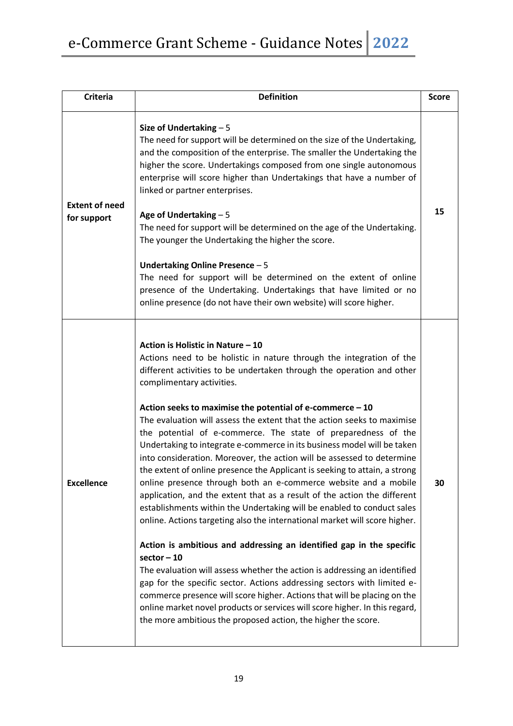| <b>Criteria</b>                      | <b>Definition</b>                                                                                                                                                                                                                                                                                                                                                                                                                                                                                                                                                                                                                                                                                                                                                                                                                                                                                                                                                                                                                                                                                                                                                                                                                                                                                                                                                                                                                                | <b>Score</b> |
|--------------------------------------|--------------------------------------------------------------------------------------------------------------------------------------------------------------------------------------------------------------------------------------------------------------------------------------------------------------------------------------------------------------------------------------------------------------------------------------------------------------------------------------------------------------------------------------------------------------------------------------------------------------------------------------------------------------------------------------------------------------------------------------------------------------------------------------------------------------------------------------------------------------------------------------------------------------------------------------------------------------------------------------------------------------------------------------------------------------------------------------------------------------------------------------------------------------------------------------------------------------------------------------------------------------------------------------------------------------------------------------------------------------------------------------------------------------------------------------------------|--------------|
| <b>Extent of need</b><br>for support | Size of Undertaking $-5$<br>The need for support will be determined on the size of the Undertaking,<br>and the composition of the enterprise. The smaller the Undertaking the<br>higher the score. Undertakings composed from one single autonomous<br>enterprise will score higher than Undertakings that have a number of<br>linked or partner enterprises.<br>Age of Undertaking $-5$<br>The need for support will be determined on the age of the Undertaking.<br>The younger the Undertaking the higher the score.<br>Undertaking Online Presence $-5$<br>The need for support will be determined on the extent of online<br>presence of the Undertaking. Undertakings that have limited or no<br>online presence (do not have their own website) will score higher.                                                                                                                                                                                                                                                                                                                                                                                                                                                                                                                                                                                                                                                                        | 15           |
| <b>Excellence</b>                    | Action is Holistic in Nature - 10<br>Actions need to be holistic in nature through the integration of the<br>different activities to be undertaken through the operation and other<br>complimentary activities.<br>Action seeks to maximise the potential of e-commerce $-10$<br>The evaluation will assess the extent that the action seeks to maximise<br>the potential of e-commerce. The state of preparedness of the<br>Undertaking to integrate e-commerce in its business model will be taken<br>into consideration. Moreover, the action will be assessed to determine<br>the extent of online presence the Applicant is seeking to attain, a strong<br>online presence through both an e-commerce website and a mobile<br>application, and the extent that as a result of the action the different<br>establishments within the Undertaking will be enabled to conduct sales<br>online. Actions targeting also the international market will score higher.<br>Action is ambitious and addressing an identified gap in the specific<br>$sector - 10$<br>The evaluation will assess whether the action is addressing an identified<br>gap for the specific sector. Actions addressing sectors with limited e-<br>commerce presence will score higher. Actions that will be placing on the<br>online market novel products or services will score higher. In this regard,<br>the more ambitious the proposed action, the higher the score. | 30           |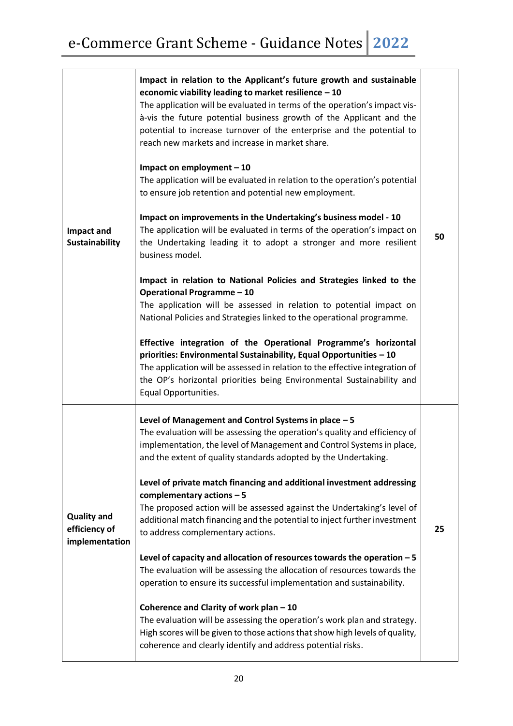| Impact and<br><b>Sustainability</b>                   | Impact in relation to the Applicant's future growth and sustainable<br>economic viability leading to market resilience - 10<br>The application will be evaluated in terms of the operation's impact vis-<br>à-vis the future potential business growth of the Applicant and the<br>potential to increase turnover of the enterprise and the potential to<br>reach new markets and increase in market share.<br>Impact on employment $-10$<br>The application will be evaluated in relation to the operation's potential<br>to ensure job retention and potential new employment.<br>Impact on improvements in the Undertaking's business model - 10<br>The application will be evaluated in terms of the operation's impact on<br>the Undertaking leading it to adopt a stronger and more resilient<br>business model.<br>Impact in relation to National Policies and Strategies linked to the<br><b>Operational Programme - 10</b><br>The application will be assessed in relation to potential impact on<br>National Policies and Strategies linked to the operational programme.<br>Effective integration of the Operational Programme's horizontal<br>priorities: Environmental Sustainability, Equal Opportunities - 10<br>The application will be assessed in relation to the effective integration of<br>the OP's horizontal priorities being Environmental Sustainability and<br>Equal Opportunities. | 50 |
|-------------------------------------------------------|---------------------------------------------------------------------------------------------------------------------------------------------------------------------------------------------------------------------------------------------------------------------------------------------------------------------------------------------------------------------------------------------------------------------------------------------------------------------------------------------------------------------------------------------------------------------------------------------------------------------------------------------------------------------------------------------------------------------------------------------------------------------------------------------------------------------------------------------------------------------------------------------------------------------------------------------------------------------------------------------------------------------------------------------------------------------------------------------------------------------------------------------------------------------------------------------------------------------------------------------------------------------------------------------------------------------------------------------------------------------------------------------------------------|----|
| <b>Quality and</b><br>efficiency of<br>implementation | Level of Management and Control Systems in place - 5<br>The evaluation will be assessing the operation's quality and efficiency of<br>implementation, the level of Management and Control Systems in place,<br>and the extent of quality standards adopted by the Undertaking.<br>Level of private match financing and additional investment addressing<br>complementary actions $-5$<br>The proposed action will be assessed against the Undertaking's level of<br>additional match financing and the potential to inject further investment<br>to address complementary actions.<br>Level of capacity and allocation of resources towards the operation - 5<br>The evaluation will be assessing the allocation of resources towards the<br>operation to ensure its successful implementation and sustainability.<br>Coherence and Clarity of work plan - 10<br>The evaluation will be assessing the operation's work plan and strategy.<br>High scores will be given to those actions that show high levels of quality,<br>coherence and clearly identify and address potential risks.                                                                                                                                                                                                                                                                                                                      | 25 |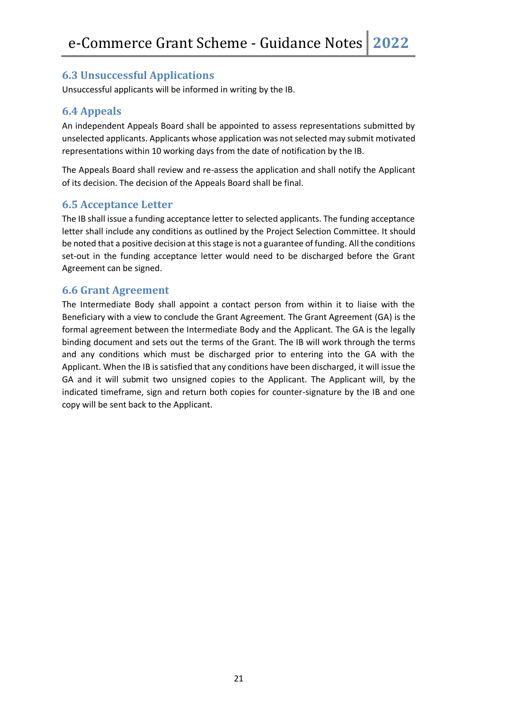#### **6.3 Unsuccessful Applications**

Unsuccessful applicants will be informed in writing by the IB.

#### **6.4 Appeals**

An independent Appeals Board shall be appointed to assess representations submitted by unselected applicants. Applicants whose application was not selected may submit motivated representations within 10 working days from the date of notification by the IB.

The Appeals Board shall review and re-assess the application and shall notify the Applicant of its decision. The decision of the Appeals Board shall be final.

#### **6.5 Acceptance Letter**

The IB shall issue a funding acceptance letter to selected applicants. The funding acceptance letter shall include any conditions as outlined by the Project Selection Committee. It should be noted that a positive decision at this stage is not a guarantee of funding. All the conditions set-out in the funding acceptance letter would need to be discharged before the Grant Agreement can be signed.

#### **6.6 Grant Agreement**

The Intermediate Body shall appoint a contact person from within it to liaise with the Beneficiary with a view to conclude the Grant Agreement. The Grant Agreement (GA) is the formal agreement between the Intermediate Body and the Applicant. The GA is the legally binding document and sets out the terms of the Grant. The IB will work through the terms and any conditions which must be discharged prior to entering into the GA with the Applicant. When the IB is satisfied that any conditions have been discharged, it will issue the GA and it will submit two unsigned copies to the Applicant. The Applicant will, by the indicated timeframe, sign and return both copies for counter-signature by the IB and one copy will be sent back to the Applicant.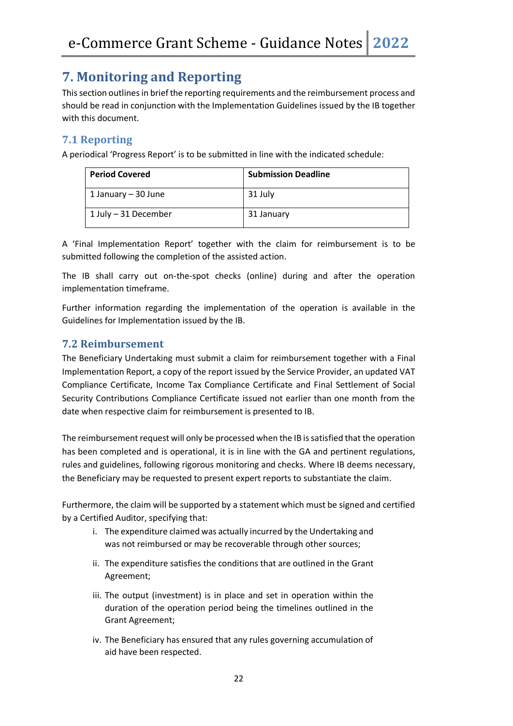# **7. Monitoring and Reporting**

This section outlines in brief the reporting requirements and the reimbursement process and should be read in conjunction with the Implementation Guidelines issued by the IB together with this document.

#### **7.1 Reporting**

A periodical 'Progress Report' is to be submitted in line with the indicated schedule:

| <b>Period Covered</b> | <b>Submission Deadline</b> |
|-----------------------|----------------------------|
| 1 January – 30 June   | 31 July                    |
| 1 July - 31 December  | 31 January                 |

A 'Final Implementation Report' together with the claim for reimbursement is to be submitted following the completion of the assisted action.

The IB shall carry out on-the-spot checks (online) during and after the operation implementation timeframe.

Further information regarding the implementation of the operation is available in the Guidelines for Implementation issued by the IB.

#### **7.2 Reimbursement**

The Beneficiary Undertaking must submit a claim for reimbursement together with a Final Implementation Report, a copy of the report issued by the Service Provider, an updated VAT Compliance Certificate, Income Tax Compliance Certificate and Final Settlement of Social Security Contributions Compliance Certificate issued not earlier than one month from the date when respective claim for reimbursement is presented to IB.

The reimbursement request will only be processed when the IB is satisfied that the operation has been completed and is operational, it is in line with the GA and pertinent regulations, rules and guidelines, following rigorous monitoring and checks. Where IB deems necessary, the Beneficiary may be requested to present expert reports to substantiate the claim.

Furthermore, the claim will be supported by a statement which must be signed and certified by a Certified Auditor, specifying that:

- i. The expenditure claimed was actually incurred by the Undertaking and was not reimbursed or may be recoverable through other sources;
- ii. The expenditure satisfies the conditions that are outlined in the Grant Agreement;
- iii. The output (investment) is in place and set in operation within the duration of the operation period being the timelines outlined in the Grant Agreement;
- iv. The Beneficiary has ensured that any rules governing accumulation of aid have been respected.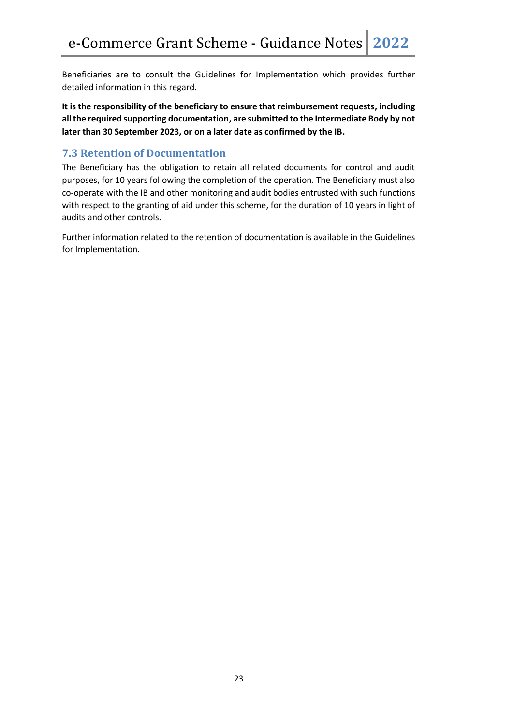Beneficiaries are to consult the Guidelines for Implementation which provides further detailed information in this regard.

**It is the responsibility of the beneficiary to ensure that reimbursement requests, including all the required supporting documentation, are submitted to the Intermediate Body by not later than 30 September 2023, or on a later date as confirmed by the IB.**

#### **7.3 Retention of Documentation**

The Beneficiary has the obligation to retain all related documents for control and audit purposes, for 10 years following the completion of the operation. The Beneficiary must also co-operate with the IB and other monitoring and audit bodies entrusted with such functions with respect to the granting of aid under this scheme, for the duration of 10 years in light of audits and other controls.

Further information related to the retention of documentation is available in the Guidelines for Implementation.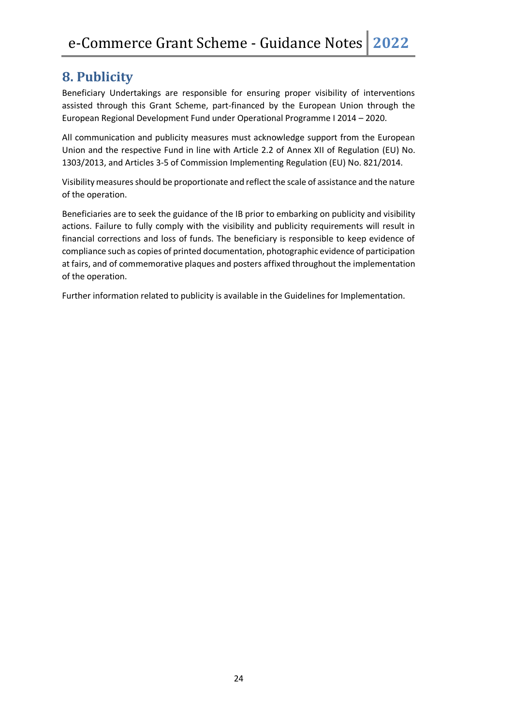## **8. Publicity**

Beneficiary Undertakings are responsible for ensuring proper visibility of interventions assisted through this Grant Scheme, part-financed by the European Union through the European Regional Development Fund under Operational Programme I 2014 – 2020.

All communication and publicity measures must acknowledge support from the European Union and the respective Fund in line with Article 2.2 of Annex XII of Regulation (EU) No. 1303/2013, and Articles 3-5 of Commission Implementing Regulation (EU) No. 821/2014.

Visibility measures should be proportionate and reflect the scale of assistance and the nature of the operation.

Beneficiaries are to seek the guidance of the IB prior to embarking on publicity and visibility actions. Failure to fully comply with the visibility and publicity requirements will result in financial corrections and loss of funds. The beneficiary is responsible to keep evidence of compliance such as copies of printed documentation, photographic evidence of participation at fairs, and of commemorative plaques and posters affixed throughout the implementation of the operation.

Further information related to publicity is available in the Guidelines for Implementation.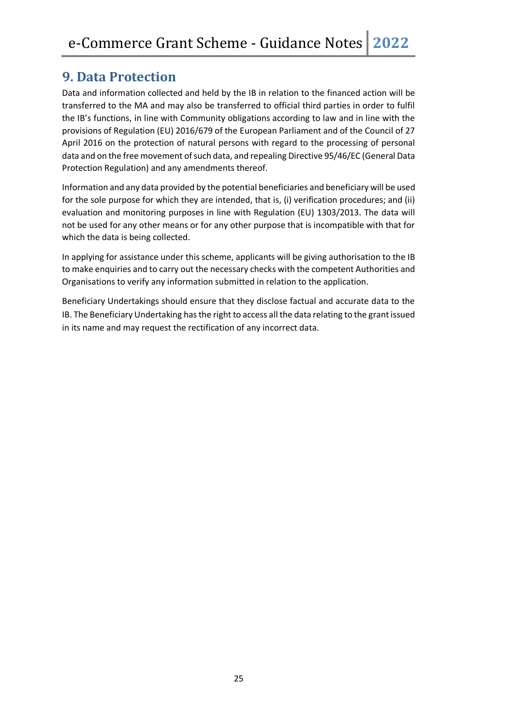## **9. Data Protection**

Data and information collected and held by the IB in relation to the financed action will be transferred to the MA and may also be transferred to official third parties in order to fulfil the IB's functions, in line with Community obligations according to law and in line with the provisions of Regulation (EU) 2016/679 of the European Parliament and of the Council of 27 April 2016 on the protection of natural persons with regard to the processing of personal data and on the free movement of such data, and repealing Directive 95/46/EC (General Data Protection Regulation) and any amendments thereof.

Information and any data provided by the potential beneficiaries and beneficiary will be used for the sole purpose for which they are intended, that is, (i) verification procedures; and (ii) evaluation and monitoring purposes in line with Regulation (EU) 1303/2013. The data will not be used for any other means or for any other purpose that is incompatible with that for which the data is being collected.

In applying for assistance under this scheme, applicants will be giving authorisation to the IB to make enquiries and to carry out the necessary checks with the competent Authorities and Organisations to verify any information submitted in relation to the application.

Beneficiary Undertakings should ensure that they disclose factual and accurate data to the IB. The Beneficiary Undertaking has the right to access all the data relating to the grant issued in its name and may request the rectification of any incorrect data.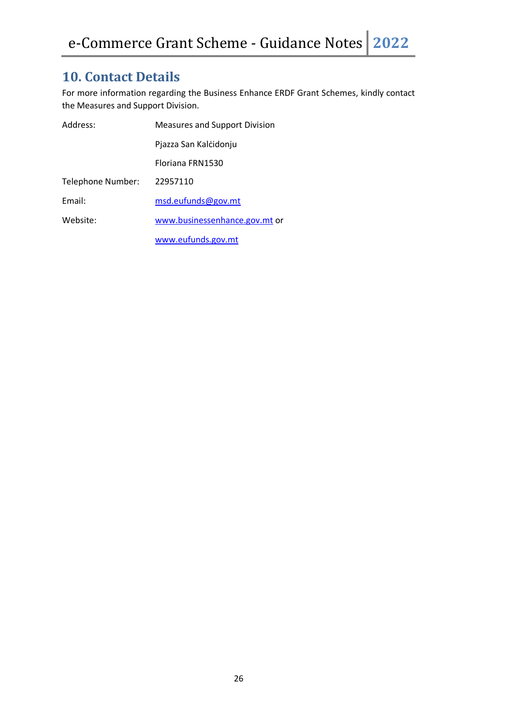## **10. Contact Details**

For more information regarding the Business Enhance ERDF Grant Schemes, kindly contact the Measures and Support Division.

| Address:          | <b>Measures and Support Division</b> |
|-------------------|--------------------------------------|
|                   | Pjazza San Kalcidonju                |
|                   | Floriana FRN1530                     |
| Telephone Number: | 22957110                             |
| Email:            | msd.eufunds@gov.mt                   |
| Website:          | www.businessenhance.gov.mt or        |
|                   | www.eufunds.gov.mt                   |